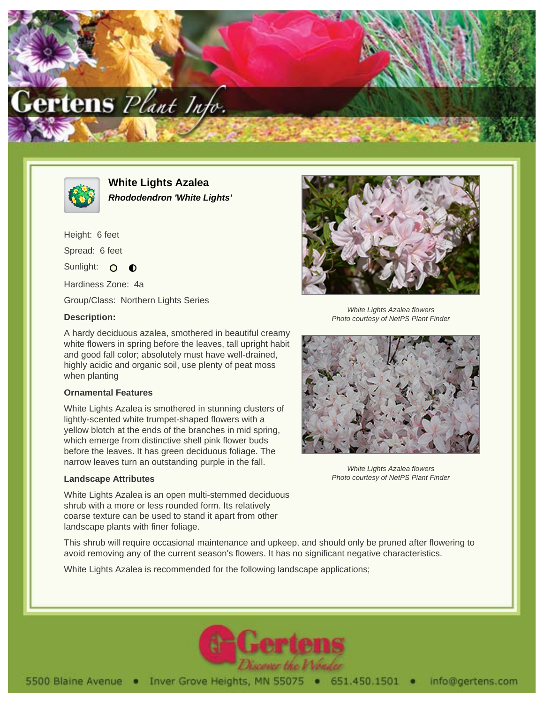



**White Lights Azalea Rhododendron 'White Lights'**

Height: 6 feet Spread: 6 feet Sunlight: O  $\bullet$ Hardiness Zone: 4a

Group/Class: Northern Lights Series

## **Description:**

A hardy deciduous azalea, smothered in beautiful creamy white flowers in spring before the leaves, tall upright habit and good fall color; absolutely must have well-drained, highly acidic and organic soil, use plenty of peat moss when planting

#### **Ornamental Features**

White Lights Azalea is smothered in stunning clusters of lightly-scented white trumpet-shaped flowers with a yellow blotch at the ends of the branches in mid spring, which emerge from distinctive shell pink flower buds before the leaves. It has green deciduous foliage. The narrow leaves turn an outstanding purple in the fall.

### **Landscape Attributes**

White Lights Azalea is an open multi-stemmed deciduous shrub with a more or less rounded form. Its relatively coarse texture can be used to stand it apart from other landscape plants with finer foliage.



White Lights Azalea flowers Photo courtesy of NetPS Plant Finder



White Lights Azalea flowers Photo courtesy of NetPS Plant Finder

This shrub will require occasional maintenance and upkeep, and should only be pruned after flowering to avoid removing any of the current season's flowers. It has no significant negative characteristics.

White Lights Azalea is recommended for the following landscape applications;